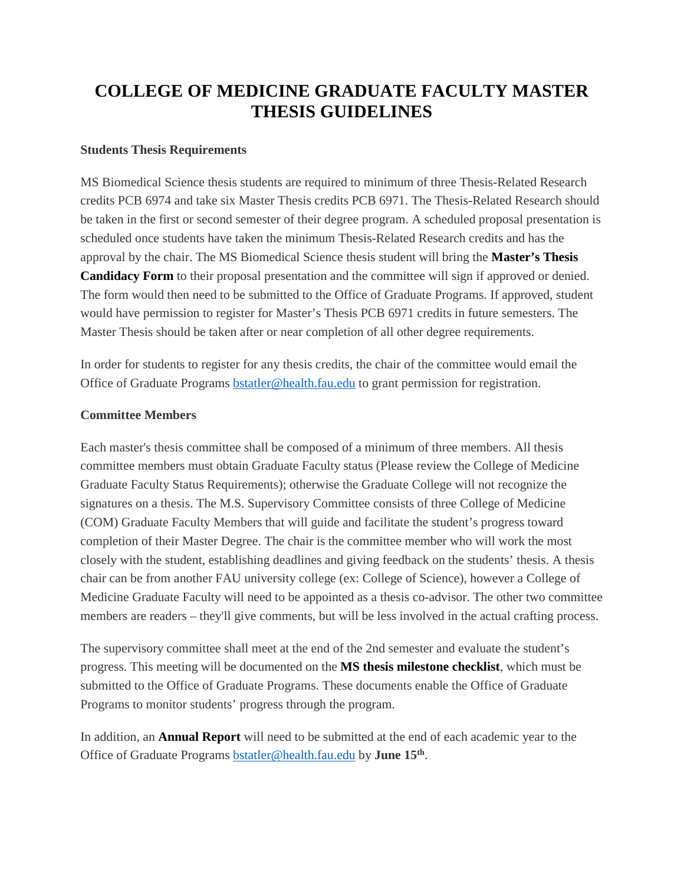## **COLLEGE OF MEDICINE GRADUATE FACULTY MASTER THESIS GUIDELINES**

## **Students Thesis Requirements**

MS Biomedical Science thesis students are required to minimum of three Thesis-Related Research credits PCB 6974 and take six Master Thesis credits PCB 6971. The Thesis-Related Research should be taken in the first or second semester of their degree program. A scheduled proposal presentation is scheduled once students have taken the minimum Thesis-Related Research credits and has the approval by the chair. The MS Biomedical Science thesis student will bring the **Master's Thesis Candidacy Form** to their proposal presentation and the committee will sign if approved or denied. The form would then need to be submitted to the Office of Graduate Programs. If approved, student would have permission to register for Master's Thesis PCB 6971 credits in future semesters. The Master Thesis should be taken after or near completion of all other degree requirements.

In order for students to register for any thesis credits, the chair of the committee would email the Office of Graduate Programs [bstatler@health.fau.edu](mailto:bstatler@health.fau.edu) to grant permission for registration.

## **Committee Members**

Each master's thesis committee shall be composed of a minimum of three members. All thesis committee members must obtain Graduate Faculty status (Please review the College of Medicine Graduate Faculty Status Requirements); otherwise the Graduate College will not recognize the signatures on a thesis. The M.S. Supervisory Committee consists of three College of Medicine (COM) Graduate Faculty Members that will guide and facilitate the student's progress toward completion of their Master Degree. The chair is the committee member who will work the most closely with the student, establishing deadlines and giving feedback on the students' thesis. A thesis chair can be from another FAU university college (ex: College of Science), however a College of Medicine Graduate Faculty will need to be appointed as a thesis co-advisor. The other two committee members are readers – they'll give comments, but will be less involved in the actual crafting process.

The supervisory committee shall meet at the end of the 2nd semester and evaluate the student's progress. This meeting will be documented on the **MS thesis milestone checklist**, which must be submitted to the Office of Graduate Programs. These documents enable the Office of Graduate Programs to monitor students' progress through the program.

In addition, an **Annual Report** will need to be submitted at the end of each academic year to the Office of Graduate Programs [bstatler@health.fau.edu](mailto:bstatler@health.fau.edu) by **June 15th**.